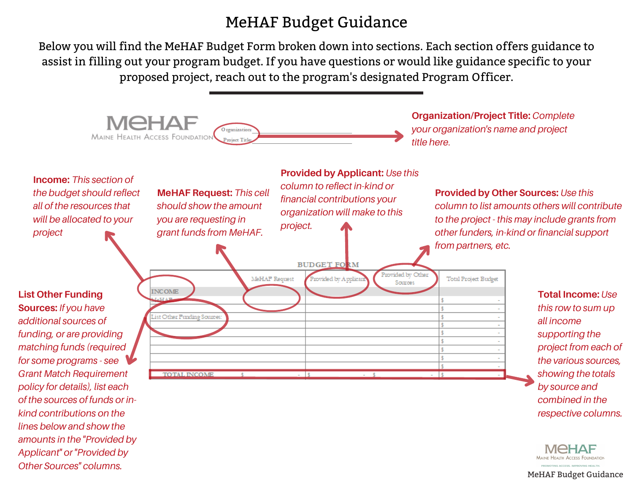## MeHAF Budget Guidance

Below you will find the MeHAF Budget Form broken down into sections. Each section offers guidance to assist in filling out your program budget. If you have questions or would like guidance specific to your proposed project, reach out to the program's designated Program Officer.



*Other Sources" columns.*

MeHAF Budget Guidance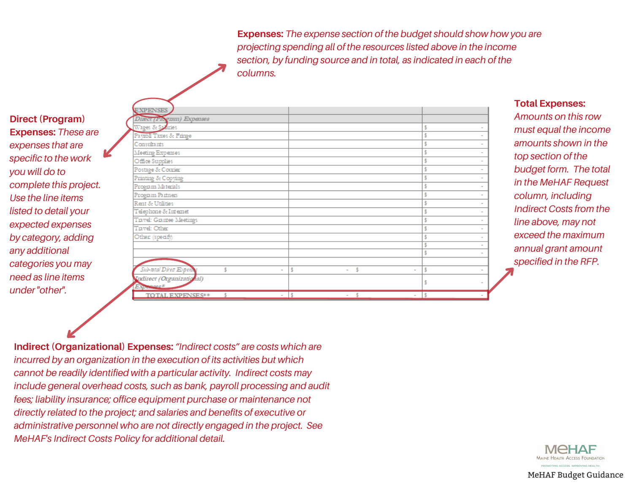**Expenses:** *The expense section of the budget should show how you are projecting spending all of the resources listed above in the income section, by funding source and in total, as indicated in each of the columns.*

## **Direct (Program) Expenses:** *These are expenses that are specific to the work you will do to complete this project. Use the line items listed to detail your expected expenses by category, adding any additional categories you may need as line items under "other".*

| <b>EXPENSES</b><br>Direct (Program) Expenses  |        |                   |             |  |
|-----------------------------------------------|--------|-------------------|-------------|--|
| Wages & Sparies                               |        |                   |             |  |
| Payroll Taxes & Fringe                        |        |                   |             |  |
| Consultants                                   |        |                   |             |  |
| Meeting Expenses                              |        |                   |             |  |
| Office Supplies                               |        |                   |             |  |
| Postage & Courier                             |        |                   |             |  |
| Printing & Copying                            |        |                   |             |  |
| Program Materials                             |        |                   |             |  |
| Program Partners                              |        |                   |             |  |
| Rent & Utilities                              |        |                   |             |  |
| Telephone & Internet                          |        |                   |             |  |
| Tiavel: Giantee Meetings                      |        |                   |             |  |
| Travel: Other                                 |        |                   |             |  |
| Other (specify)                               |        |                   |             |  |
|                                               |        |                   |             |  |
|                                               |        |                   |             |  |
| Sub-total Direct Expense<br>¢                 | $\sim$ | $-5$              | ŝ<br>$\sim$ |  |
| Indirect (Organizational)<br><b>ENDINGERS</b> |        |                   |             |  |
| TOTAL EVPENSES:*                              |        | $\sim$ $\epsilon$ |             |  |

## **Total Expenses:**

*Amounts on this row must equal the income amounts shown in the top section of the budget form. The total in the MeHAF Request column, including Indirect Costs from the line above, may not exceed the maximum annual grant amount specified in the RFP.*

**Indirect (Organizational) Expenses:***"Indirect costs" are costs which are incurred by an organization in the execution of its activities but which cannot be readily identified with a particular activity. Indirect costs may include general overhead costs, such as bank, payroll processing and audit fees; liability insurance; office equipment purchase or maintenance not directly related to the project; and salaries and benefits of executive or administrative personnel who are not directly engaged in the project. See MeHAF's Indirect Costs Policy for additional detail.*